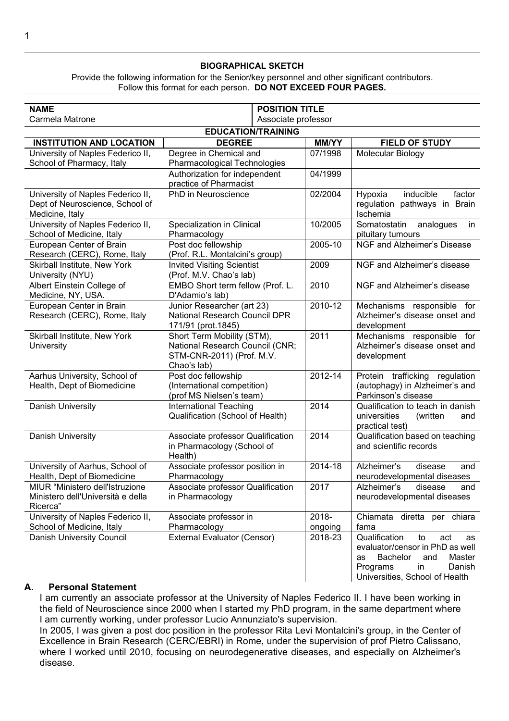#### **BIOGRAPHICAL SKETCH**

Provide the following information for the Senior/key personnel and other significant contributors. Follow this format for each person. **DO NOT EXCEED FOUR PAGES.**

| <b>NAME</b>                                                          | <b>POSITION TITLE</b>                            |              |                                                                     |
|----------------------------------------------------------------------|--------------------------------------------------|--------------|---------------------------------------------------------------------|
| Carmela Matrone<br>Associate professor                               |                                                  |              |                                                                     |
| <b>EDUCATION/TRAINING</b>                                            |                                                  |              |                                                                     |
| <b>INSTITUTION AND LOCATION</b>                                      | <b>DEGREE</b>                                    | <b>MM/YY</b> | <b>FIELD OF STUDY</b>                                               |
| University of Naples Federico II,                                    | Degree in Chemical and                           | 07/1998      | Molecular Biology                                                   |
| School of Pharmacy, Italy                                            | Pharmacological Technologies                     |              |                                                                     |
|                                                                      | Authorization for independent                    | 04/1999      |                                                                     |
|                                                                      | practice of Pharmacist<br>PhD in Neuroscience    |              | inducible<br>factor                                                 |
| University of Naples Federico II,<br>Dept of Neuroscience, School of |                                                  | 02/2004      | Hypoxia<br>regulation pathways in Brain                             |
| Medicine, Italy                                                      |                                                  |              | Ischemia                                                            |
| University of Naples Federico II,                                    | Specialization in Clinical                       | 10/2005      | Somatostatin<br>analogues<br>in                                     |
| School of Medicine, Italy                                            | Pharmacology                                     |              | pituitary tumours                                                   |
| European Center of Brain                                             | Post doc fellowship                              | 2005-10      | NGF and Alzheimer's Disease                                         |
| Research (CERC), Rome, Italy                                         | (Prof. R.L. Montalcini's group)                  |              |                                                                     |
| Skirball Institute, New York                                         | <b>Invited Visiting Scientist</b>                | 2009         | NGF and Alzheimer's disease                                         |
| University (NYU)                                                     | (Prof. M.V. Chao's lab)                          |              |                                                                     |
| Albert Einstein College of                                           | EMBO Short term fellow (Prof. L.                 | 2010         | NGF and Alzheimer's disease                                         |
| Medicine, NY, USA.                                                   | D'Adamio's lab)                                  |              |                                                                     |
| European Center in Brain                                             | Junior Researcher (art 23)                       | 2010-12      | Mechanisms responsible for                                          |
| Research (CERC), Rome, Italy                                         | National Research Council DPR                    |              | Alzheimer's disease onset and                                       |
| Skirball Institute, New York                                         | 171/91 (prot.1845)<br>Short Term Mobility (STM), | 2011         | development<br>Mechanisms responsible for                           |
| University                                                           | National Research Council (CNR;                  |              | Alzheimer's disease onset and                                       |
|                                                                      | STM-CNR-2011) (Prof. M.V.                        |              | development                                                         |
|                                                                      | Chao's lab)                                      |              |                                                                     |
| Aarhus University, School of                                         | Post doc fellowship                              | 2012-14      | Protein trafficking<br>regulation                                   |
| Health, Dept of Biomedicine                                          | (International competition)                      |              | (autophagy) in Alzheimer's and                                      |
|                                                                      | (prof MS Nielsen's team)                         |              | Parkinson's disease                                                 |
| Danish University                                                    | <b>International Teaching</b>                    | 2014         | Qualification to teach in danish                                    |
|                                                                      | Qualification (School of Health)                 |              | universities<br>(written<br>and                                     |
|                                                                      |                                                  |              | practical test)                                                     |
| Danish University                                                    | Associate professor Qualification                | 2014         | Qualification based on teaching                                     |
|                                                                      | in Pharmacology (School of                       |              | and scientific records                                              |
|                                                                      | Health)                                          |              |                                                                     |
| University of Aarhus, School of                                      | Associate professor position in                  | 2014-18      | Alzheimer's<br>disease<br>and                                       |
| Health, Dept of Biomedicine                                          | Pharmacology                                     |              | neurodevelopmental diseases                                         |
| MIUR "Ministero dell'Istruzione                                      | Associate professor Qualification                | 2017         | Alzheimer's<br>disease<br>and                                       |
| Ministero dell'Università e della                                    | in Pharmacology                                  |              | neurodevelopmental diseases                                         |
| Ricerca"                                                             |                                                  |              |                                                                     |
| University of Naples Federico II,                                    | Associate professor in                           | 2018-        | Chiamata diretta per chiara                                         |
| School of Medicine, Italy                                            | Pharmacology                                     | ongoing      | fama                                                                |
| Danish University Council                                            | External Evaluator (Censor)                      | 2018-23      | Qualification<br>to<br>act<br>as<br>evaluator/censor in PhD as well |
|                                                                      |                                                  |              | Master<br><b>Bachelor</b><br>and<br>as                              |
|                                                                      |                                                  |              | Programs<br>in<br>Danish                                            |
|                                                                      |                                                  |              | Universities, School of Health                                      |
|                                                                      |                                                  |              |                                                                     |

#### **A. Personal Statement**

I am currently an associate professor at the University of Naples Federico II. I have been working in the field of Neuroscience since 2000 when I started my PhD program, in the same department where I am currently working, under professor Lucio Annunziato's supervision.

In 2005, I was given a post doc position in the professor Rita Levi Montalcini's group, in the Center of Excellence in Brain Research (CERC/EBRI) in Rome, under the supervision of prof Pietro Calissano, where I worked until 2010, focusing on neurodegenerative diseases, and especially on Alzheimer's disease.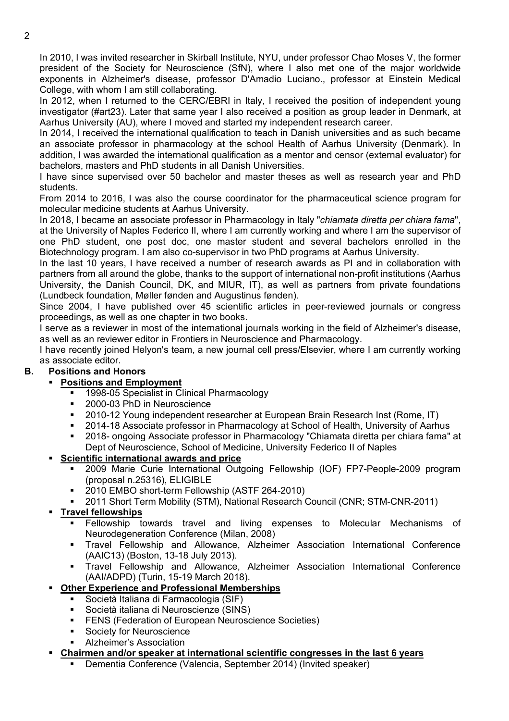In 2010, I was invited researcher in Skirball Institute, NYU, under professor Chao Moses V, the former president of the Society for Neuroscience (SfN), where I also met one of the major worldwide exponents in Alzheimer's disease, professor D'Amadio Luciano., professor at Einstein Medical College, with whom I am still collaborating.

In 2012, when I returned to the CERC/EBRI in Italy, I received the position of independent young investigator (#art23). Later that same year I also received a position as group leader in Denmark, at Aarhus University (AU), where I moved and started my independent research career.

In 2014, I received the international qualification to teach in Danish universities and as such became an associate professor in pharmacology at the school Health of Aarhus University (Denmark). In addition, I was awarded the international qualification as a mentor and censor (external evaluator) for bachelors, masters and PhD students in all Danish Universities.

I have since supervised over 50 bachelor and master theses as well as research year and PhD students.

From 2014 to 2016, I was also the course coordinator for the pharmaceutical science program for molecular medicine students at Aarhus University.

In 2018, I became an associate professor in Pharmacology in Italy "*chiamata diretta per chiara fama*", at the University of Naples Federico II, where I am currently working and where I am the supervisor of one PhD student, one post doc, one master student and several bachelors enrolled in the Biotechnology program. I am also co-supervisor in two PhD programs at Aarhus University.

In the last 10 years, I have received a number of research awards as PI and in collaboration with partners from all around the globe, thanks to the support of international non-profit institutions (Aarhus University, the Danish Council, DK, and MIUR, IT), as well as partners from private foundations (Lundbeck foundation, Møller fønden and Augustinus fønden).

Since 2004, I have published over 45 scientific articles in peer-reviewed journals or congress proceedings, as well as one chapter in two books.

I serve as a reviewer in most of the international journals working in the field of Alzheimer's disease, as well as an reviewer editor in Frontiers in Neuroscience and Pharmacology.

I have recently joined Helyon's team, a new journal cell press/Elsevier, where I am currently working as associate editor.

## **B. Positions and Honors**

#### **Positions and Employment**

- 1998-05 Specialist in Clinical Pharmacology
- 2000-03 PhD in Neuroscience
- 2010-12 Young independent researcher at European Brain Research Inst (Rome, IT)
- 2014-18 Associate professor in Pharmacology at School of Health, University of Aarhus
- 2018- ongoing Associate professor in Pharmacology "Chiamata diretta per chiara fama" at Dept of Neuroscience, School of Medicine, University Federico II of Naples

### **Scientific international awards and price**

- 2009 Marie Curie International Outgoing Fellowship (IOF) FP7-People-2009 program (proposal n.25316), ELIGIBLE
- 2010 EMBO short-term Fellowship (ASTF 264-2010)
- 2011 Short Term Mobility (STM), National Research Council (CNR; STM-CNR-2011)

### **Travel fellowships**

- Fellowship towards travel and living expenses to Molecular Mechanisms of Neurodegeneration Conference (Milan, 2008)
- Travel Fellowship and Allowance, Alzheimer Association International Conference (AAIC13) (Boston, 13-18 July 2013).
- Travel Fellowship and Allowance, Alzheimer Association International Conference (AAI/ADPD) (Turin, 15-19 March 2018).

### **Other Experience and Professional Memberships**

- Società Italiana di Farmacologia (SIF)
- Società italiana di Neuroscienze (SINS)
- **FENS (Federation of European Neuroscience Societies)**
- **Society for Neuroscience**
- Alzheimer's Association
- **Chairmen and/or speaker at international scientific congresses in the last 6 years**
	- Dementia Conference (Valencia, September 2014) (Invited speaker)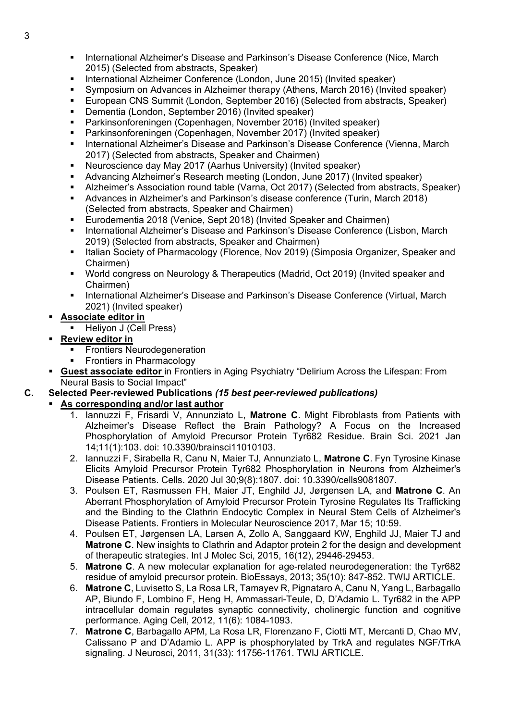- International Alzheimer's Disease and Parkinson's Disease Conference (Nice, March 2015) (Selected from abstracts, Speaker)
- **International Alzheimer Conference (London, June 2015) (Invited speaker)**
- Symposium on Advances in Alzheimer therapy (Athens, March 2016) (Invited speaker)
- European CNS Summit (London, September 2016) (Selected from abstracts, Speaker)
- Dementia (London, September 2016) (Invited speaker)
- Parkinsonforeningen (Copenhagen, November 2016) (Invited speaker)
- Parkinsonforeningen (Copenhagen, November 2017) (Invited speaker)
- **International Alzheimer's Disease and Parkinson's Disease Conference (Vienna, March)** 2017) (Selected from abstracts, Speaker and Chairmen)
- Neuroscience day May 2017 (Aarhus University) (Invited speaker)
- Advancing Alzheimer's Research meeting (London, June 2017) (Invited speaker)
- Alzheimer's Association round table (Varna, Oct 2017) (Selected from abstracts, Speaker)
- Advances in Alzheimer's and Parkinson's disease conference (Turin, March 2018) (Selected from abstracts, Speaker and Chairmen)
- Eurodementia 2018 (Venice, Sept 2018) (Invited Speaker and Chairmen)
- International Alzheimer's Disease and Parkinson's Disease Conference (Lisbon, March 2019) (Selected from abstracts, Speaker and Chairmen)
- **Italian Society of Pharmacology (Florence, Nov 2019) (Simposia Organizer, Speaker and** Chairmen)
- World congress on Neurology & Therapeutics (Madrid, Oct 2019) (Invited speaker and Chairmen)
- International Alzheimer's Disease and Parkinson's Disease Conference (Virtual, March 2021) (Invited speaker)
- **Associate editor in**
	- Heliyon J (Cell Press)
- **Review editor in**
	- Frontiers Neurodegeneration
	- Frontiers in Pharmacology
- **Guest associate editor** in Frontiers in Aging Psychiatry "Delirium Across the Lifespan: From Neural Basis to Social Impact"
- **C. Selected Peer-reviewed Publications** *(15 best peer-reviewed publications)*

#### **As corresponding and/or last author**

- 1. Iannuzzi F, Frisardi V, Annunziato L, **Matrone C**. Might Fibroblasts from Patients with Alzheimer's Disease Reflect the Brain Pathology? A Focus on the Increased Phosphorylation of Amyloid Precursor Protein Tyr682 Residue. Brain Sci. 2021 Jan 14;11(1):103. doi: 10.3390/brainsci11010103.
- 2. Iannuzzi F, Sirabella R, Canu N, Maier TJ, Annunziato L, **Matrone C**. Fyn Tyrosine Kinase Elicits Amyloid Precursor Protein Tyr682 Phosphorylation in Neurons from Alzheimer's Disease Patients. Cells. 2020 Jul 30;9(8):1807. doi: 10.3390/cells9081807.
- 3. Poulsen ET, Rasmussen FH, Maier JT, Enghild JJ, Jørgensen LA, and **Matrone C**. An Aberrant Phosphorylation of Amyloid Precursor Protein Tyrosine Regulates Its Trafficking and the Binding to the Clathrin Endocytic Complex in Neural Stem Cells of Alzheimer's Disease Patients. Frontiers in Molecular Neuroscience 2017, Mar 15; 10:59.
- 4. Poulsen ET, Jørgensen LA, Larsen A, Zollo A, Sanggaard KW, Enghild JJ, Maier TJ and **Matrone C**. New insights to Clathrin and Adaptor protein 2 for the design and development of therapeutic strategies. Int J Molec Sci, 2015, 16(12), 29446-29453.
- 5. **Matrone C**. A new molecular explanation for age-related neurodegeneration: the Tyr682 residue of amyloid precursor protein. BioEssays, 2013; 35(10): 847-852. TWIJ ARTICLE.
- 6. **Matrone C**, Luvisetto S, La Rosa LR, Tamayev R, Pignataro A, Canu N, Yang L, Barbagallo AP, Biundo F, Lombino F, Heng H, Ammassari-Teule, D, D'Adamio L. Tyr682 in the APP intracellular domain regulates synaptic connectivity, cholinergic function and cognitive performance. Aging Cell, 2012, 11(6): 1084-1093.
- 7. **Matrone C**, Barbagallo APM, La Rosa LR, Florenzano F, Ciotti MT, Mercanti D, Chao MV, Calissano P and D'Adamio L. APP is phosphorylated by TrkA and regulates NGF/TrkA signaling. J Neurosci, 2011, 31(33): 11756-11761. TWIJ ARTICLE.